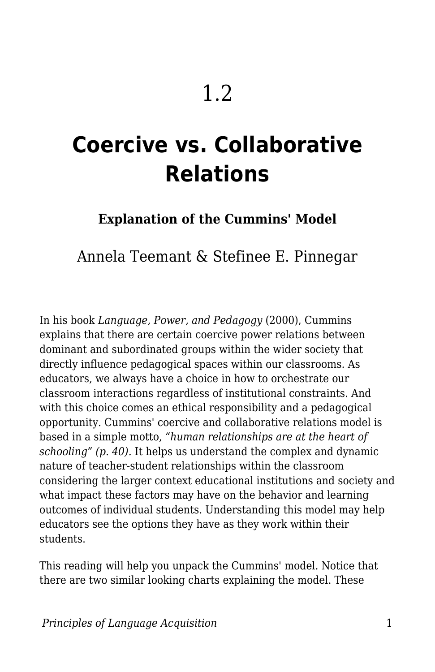# **Coercive vs. Collaborative Relations**

## **Explanation of the Cummins' Model**

# Annela Teemant & Stefinee E. Pinnegar

In his book *Language, Power, and Pedagogy* (2000), Cummins explains that there are certain coercive power relations between dominant and subordinated groups within the wider society that directly influence pedagogical spaces within our classrooms. As educators, we always have a choice in how to orchestrate our classroom interactions regardless of institutional constraints. And with this choice comes an ethical responsibility and a pedagogical opportunity. Cummins' coercive and collaborative relations model is based in a simple motto, *"human relationships are at the heart of schooling" (p. 40).* It helps us understand the complex and dynamic nature of teacher-student relationships within the classroom considering the larger context educational institutions and society and what impact these factors may have on the behavior and learning outcomes of individual students. Understanding this model may help educators see the options they have as they work within their students.

This reading will help you unpack the Cummins' model. Notice that there are two similar looking charts explaining the model. These

*Principles of Language Acquisition* 1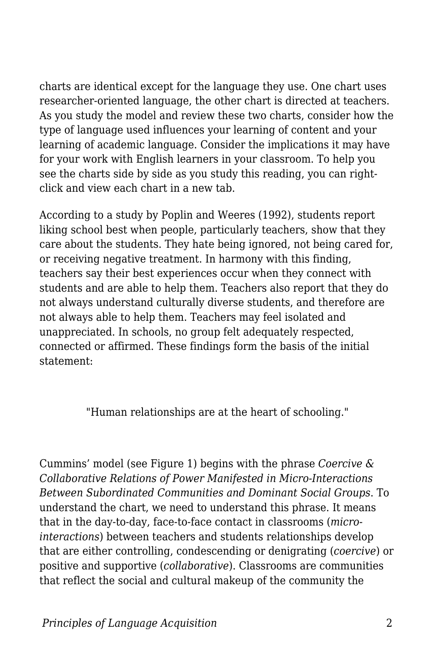charts are identical except for the language they use. One chart uses researcher-oriented language, the other chart is directed at teachers. As you study the model and review these two charts, consider how the type of language used influences your learning of content and your learning of academic language. Consider the implications it may have for your work with English learners in your classroom. To help you see the charts side by side as you study this reading, you can rightclick and view each chart in a new tab.

According to a study by Poplin and Weeres (1992), students report liking school best when people, particularly teachers, show that they care about the students. They hate being ignored, not being cared for, or receiving negative treatment. In harmony with this finding, teachers say their best experiences occur when they connect with students and are able to help them. Teachers also report that they do not always understand culturally diverse students, and therefore are not always able to help them. Teachers may feel isolated and unappreciated. In schools, no group felt adequately respected, connected or affirmed. These findings form the basis of the initial statement:

"Human relationships are at the heart of schooling."

Cummins' model (see Figure 1) begins with the phrase *Coercive & Collaborative Relations of Power Manifested in Micro-Interactions Between Subordinated Communities and Dominant Social Groups*. To understand the chart, we need to understand this phrase. It means that in the day-to-day, face-to-face contact in classrooms (*microinteractions*) between teachers and students relationships develop that are either controlling, condescending or denigrating (*coercive*) or positive and supportive (*collaborative*). Classrooms are communities that reflect the social and cultural makeup of the community the

*Principles of Language Acquisition* 2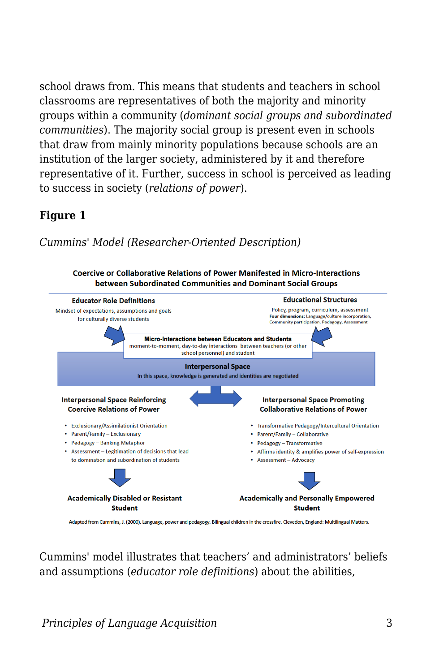school draws from. This means that students and teachers in school classrooms are representatives of both the majority and minority groups within a community (*dominant social groups and subordinated communities*). The majority social group is present even in schools that draw from mainly minority populations because schools are an institution of the larger society, administered by it and therefore representative of it. Further, success in school is perceived as leading to success in society (*relations of power*).

#### **Figure 1**

#### *Cummins' Model (Researcher-Oriented Description)*





Adapted from Cummins, J. (2000). Language, power and pedagogy. Bilingual children in the crossfire. Clevedon, England: Multilingual Matters.

Cummins' model illustrates that teachers' and administrators' beliefs and assumptions (*educator role definitions*) about the abilities,

*Principles of Language Acquisition* 3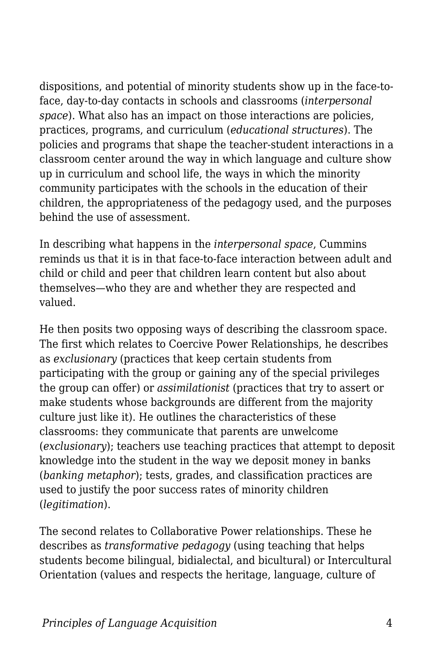dispositions, and potential of minority students show up in the face-toface, day-to-day contacts in schools and classrooms (*interpersonal space*). What also has an impact on those interactions are policies, practices, programs, and curriculum (*educational structures*). The policies and programs that shape the teacher-student interactions in a classroom center around the way in which language and culture show up in curriculum and school life, the ways in which the minority community participates with the schools in the education of their children, the appropriateness of the pedagogy used, and the purposes behind the use of assessment.

In describing what happens in the *interpersonal space*, Cummins reminds us that it is in that face-to-face interaction between adult and child or child and peer that children learn content but also about themselves—who they are and whether they are respected and valued.

He then posits two opposing ways of describing the classroom space. The first which relates to Coercive Power Relationships, he describes as *exclusionary* (practices that keep certain students from participating with the group or gaining any of the special privileges the group can offer) or *assimilationist* (practices that try to assert or make students whose backgrounds are different from the majority culture just like it). He outlines the characteristics of these classrooms: they communicate that parents are unwelcome (*exclusionary*); teachers use teaching practices that attempt to deposit knowledge into the student in the way we deposit money in banks (*banking metaphor*); tests, grades, and classification practices are used to justify the poor success rates of minority children (*legitimation*).

The second relates to Collaborative Power relationships. These he describes as *transformative pedagogy* (using teaching that helps students become bilingual, bidialectal, and bicultural) or Intercultural Orientation (values and respects the heritage, language, culture of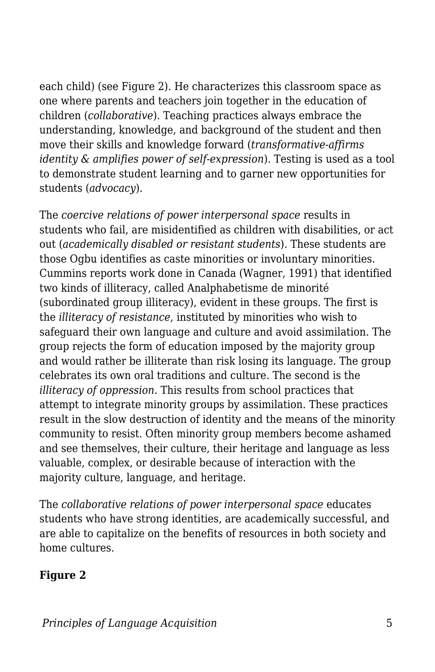each child) (see Figure 2). He characterizes this classroom space as one where parents and teachers join together in the education of children (*collaborative*). Teaching practices always embrace the understanding, knowledge, and background of the student and then move their skills and knowledge forward (*transformative-affirms identity & amplifies power of self-expression*). Testing is used as a tool to demonstrate student learning and to garner new opportunities for students (*advocacy*).

The *coercive relations of power interpersonal space* results in students who fail, are misidentified as children with disabilities, or act out (*academically disabled or resistant students*). These students are those Ogbu identifies as caste minorities or involuntary minorities. Cummins reports work done in Canada (Wagner, 1991) that identified two kinds of illiteracy, called Analphabetisme de minorité (subordinated group illiteracy), evident in these groups. The first is the *illiteracy of resistance*, instituted by minorities who wish to safeguard their own language and culture and avoid assimilation. The group rejects the form of education imposed by the majority group and would rather be illiterate than risk losing its language. The group celebrates its own oral traditions and culture. The second is the *illiteracy of oppression*. This results from school practices that attempt to integrate minority groups by assimilation. These practices result in the slow destruction of identity and the means of the minority community to resist. Often minority group members become ashamed and see themselves, their culture, their heritage and language as less valuable, complex, or desirable because of interaction with the majority culture, language, and heritage.

The *collaborative relations of power interpersonal space* educates students who have strong identities, are academically successful, and are able to capitalize on the benefits of resources in both society and home cultures.

#### **Figure 2**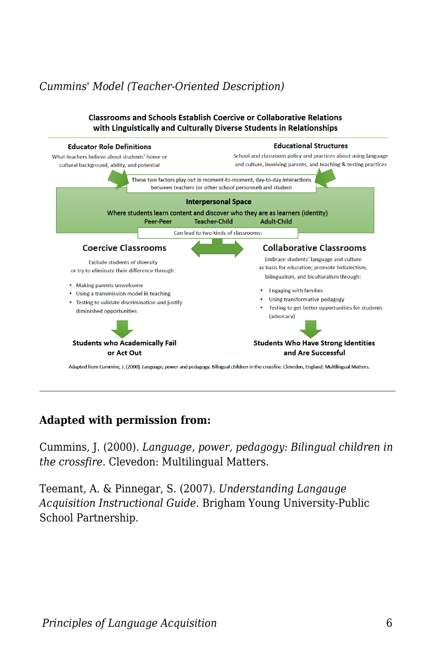### *Cummins' Model (Teacher-Oriented Description)*



#### **Adapted with permission from:**

Cummins, J. (2000). *Language, power, pedagogy: Bilingual children in the crossfire.* Clevedon: Multilingual Matters.

Teemant, A. & Pinnegar, S. (2007). *Understanding Langauge Acquisition Instructional Guide.* Brigham Young University-Public School Partnership.